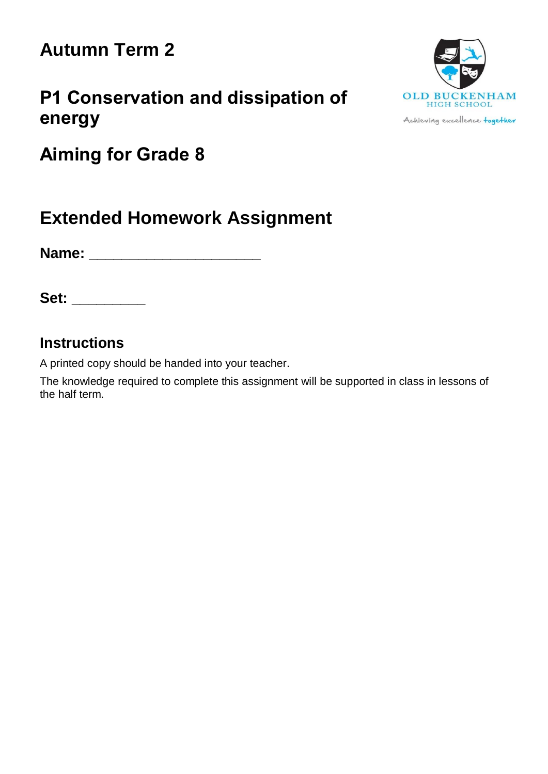# **Autumn Term 2**

## **P1 Conservation and dissipation of energy**



Achieving excellence together

**Aiming for Grade 8**

## **Extended Homework Assignment**

**Name: \_\_\_\_\_\_\_\_\_\_\_\_\_\_\_\_\_\_\_\_\_**

**Set: \_\_\_\_\_\_\_\_\_**

### **Instructions**

A printed copy should be handed into your teacher.

The knowledge required to complete this assignment will be supported in class in lessons of the half term.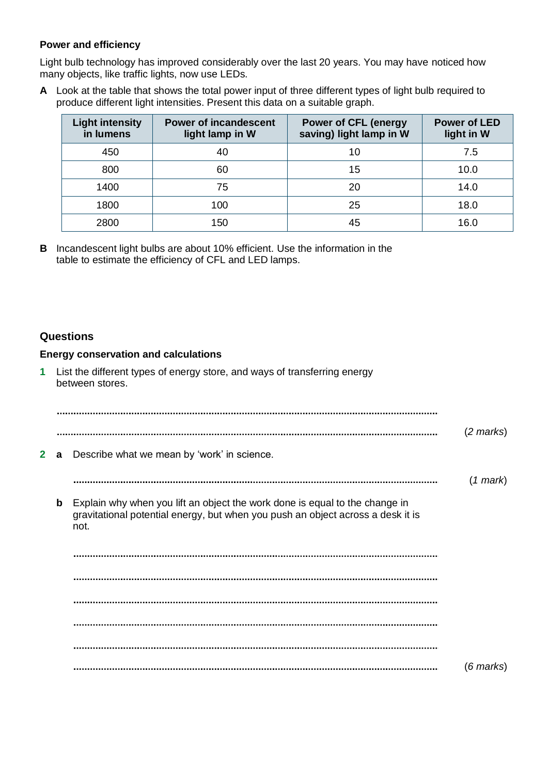### **Power and efficiency**

Light bulb technology has improved considerably over the last 20 years. You may have noticed how many objects, like traffic lights, now use LEDs.

**A** Look at the table that shows the total power input of three different types of light bulb required to produce different light intensities. Present this data on a suitable graph.

| <b>Light intensity</b><br>in lumens | <b>Power of incandescent</b><br>light lamp in W | <b>Power of CFL (energy</b><br>saving) light lamp in W | <b>Power of LED</b><br>light in W |
|-------------------------------------|-------------------------------------------------|--------------------------------------------------------|-----------------------------------|
| 450                                 | 40                                              | 10                                                     | 7.5                               |
| 800                                 | 60                                              | 15                                                     | 10.0                              |
| 1400                                | 75                                              | 20                                                     | 14.0                              |
| 1800                                | 100                                             | 25                                                     | 18.0                              |
| 2800                                | 150                                             | 45                                                     | 16.0                              |

**B** Incandescent light bulbs are about 10% efficient. Use the information in the table to estimate the efficiency of CFL and LED lamps.

### **Questions**

#### **Energy conservation and calculations**

**1** List the different types of energy store, and ways of transferring energy between stores. (*2 marks*) **2 a** Describe what we mean by 'work' in science. (*1 mark*) **b** Explain why when you lift an object the work done is equal to the change in gravitational potential energy, but when you push an object across a desk it is not. (*6 marks*)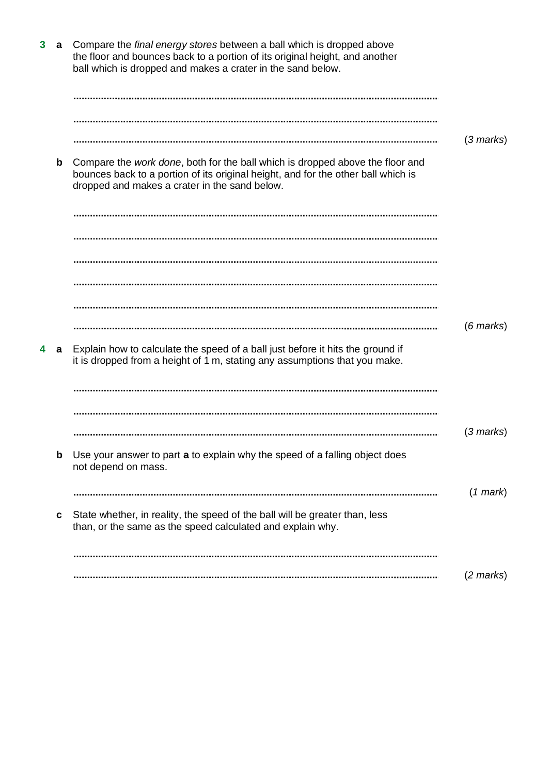| $\mathbf{3}$ | a           | Compare the final energy stores between a ball which is dropped above<br>the floor and bounces back to a portion of its original height, and another<br>ball which is dropped and makes a crater in the sand below.         |                     |
|--------------|-------------|-----------------------------------------------------------------------------------------------------------------------------------------------------------------------------------------------------------------------------|---------------------|
|              |             |                                                                                                                                                                                                                             |                     |
|              |             |                                                                                                                                                                                                                             |                     |
|              |             |                                                                                                                                                                                                                             | $(3 \text{ marks})$ |
|              | $\mathbf b$ | Compare the <i>work done</i> , both for the ball which is dropped above the floor and<br>bounces back to a portion of its original height, and for the other ball which is<br>dropped and makes a crater in the sand below. |                     |
|              |             |                                                                                                                                                                                                                             |                     |
|              |             |                                                                                                                                                                                                                             |                     |
|              |             |                                                                                                                                                                                                                             |                     |
|              |             |                                                                                                                                                                                                                             |                     |
|              |             |                                                                                                                                                                                                                             |                     |
|              |             |                                                                                                                                                                                                                             | $(6$ marks $)$      |
| 4            | a           | Explain how to calculate the speed of a ball just before it hits the ground if<br>it is dropped from a height of 1 m, stating any assumptions that you make.                                                                |                     |
|              |             |                                                                                                                                                                                                                             |                     |
|              |             |                                                                                                                                                                                                                             |                     |
|              |             |                                                                                                                                                                                                                             | $(3 \text{ marks})$ |
|              | b           | Use your answer to part a to explain why the speed of a falling object does<br>not depend on mass.                                                                                                                          |                     |
|              |             |                                                                                                                                                                                                                             | $(1$ mark $)$       |
|              | C           | State whether, in reality, the speed of the ball will be greater than, less<br>than, or the same as the speed calculated and explain why.                                                                                   |                     |
|              |             |                                                                                                                                                                                                                             |                     |
|              |             |                                                                                                                                                                                                                             | $(2 \text{ marks})$ |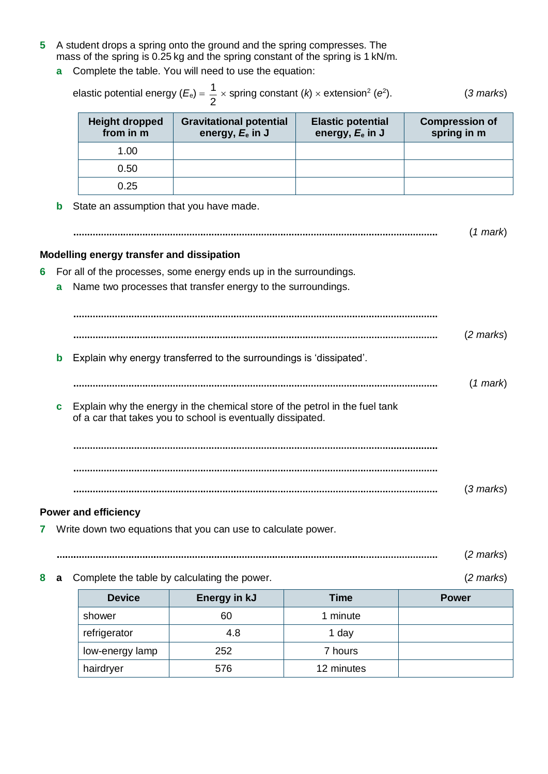- **5** A student drops a spring onto the ground and the spring compresses. The mass of the spring is 0.25 kg and the spring constant of the spring is 1 kN/m.
	- **a** Complete the table. You will need to use the equation:

|        |                                           | elastic potential energy $(E_e) = \frac{1}{2} \times$ spring constant $(k) \times$ extension <sup>2</sup> (e <sup>2</sup> ).               |                                                | $(3$ marks)                          |
|--------|-------------------------------------------|--------------------------------------------------------------------------------------------------------------------------------------------|------------------------------------------------|--------------------------------------|
|        | <b>Height dropped</b><br>from in m        | <b>Gravitational potential</b><br>energy, $E_e$ in J                                                                                       | <b>Elastic potential</b><br>energy, $E_e$ in J | <b>Compression of</b><br>spring in m |
|        | 1.00                                      |                                                                                                                                            |                                                |                                      |
|        | 0.50                                      |                                                                                                                                            |                                                |                                      |
|        | 0.25                                      |                                                                                                                                            |                                                |                                      |
| b      | State an assumption that you have made.   |                                                                                                                                            |                                                | (1 mark)                             |
|        | Modelling energy transfer and dissipation |                                                                                                                                            |                                                |                                      |
| 6<br>а |                                           | For all of the processes, some energy ends up in the surroundings.<br>Name two processes that transfer energy to the surroundings.         |                                                |                                      |
|        |                                           |                                                                                                                                            |                                                |                                      |
|        |                                           |                                                                                                                                            |                                                | $(2 \text{ marks})$                  |
|        |                                           |                                                                                                                                            |                                                |                                      |
| b      |                                           | Explain why energy transferred to the surroundings is 'dissipated'.                                                                        |                                                |                                      |
|        |                                           |                                                                                                                                            |                                                | (1 mark)                             |
| с      |                                           | Explain why the energy in the chemical store of the petrol in the fuel tank<br>of a car that takes you to school is eventually dissipated. |                                                |                                      |
|        |                                           |                                                                                                                                            |                                                |                                      |
|        |                                           |                                                                                                                                            |                                                | $(3 \text{ marks})$                  |
|        | <b>Power and efficiency</b>               |                                                                                                                                            |                                                |                                      |
| 7      |                                           | Write down two equations that you can use to calculate power.                                                                              |                                                |                                      |
|        |                                           |                                                                                                                                            |                                                | $(2 \text{ marks})$                  |
| 8<br>a |                                           | Complete the table by calculating the power.                                                                                               |                                                | $(2 \text{ marks})$                  |
|        | <b>Device</b>                             | Energy in kJ                                                                                                                               | <b>Time</b>                                    | <b>Power</b>                         |
|        | shower                                    | 60                                                                                                                                         | 1 minute                                       |                                      |
|        | refrigerator                              | 4.8                                                                                                                                        | 1 day                                          |                                      |
|        | low-energy lamp                           | 252                                                                                                                                        | 7 hours                                        |                                      |
|        | hairdryer                                 | 576                                                                                                                                        | 12 minutes                                     |                                      |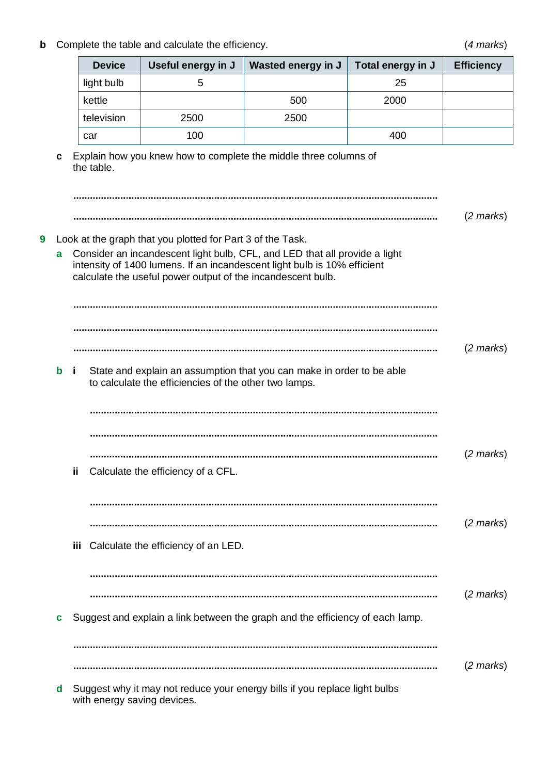**b** Complete the table and calculate the efficiency. (*4 marks*)

|             | <b>Device</b> | Useful energy in J                                                                                                        | Wasted energy in J                                                                                                                                                                                                         | Total energy in J | <b>Efficiency</b>   |
|-------------|---------------|---------------------------------------------------------------------------------------------------------------------------|----------------------------------------------------------------------------------------------------------------------------------------------------------------------------------------------------------------------------|-------------------|---------------------|
|             | light bulb    | 5                                                                                                                         |                                                                                                                                                                                                                            | 25                |                     |
|             | kettle        |                                                                                                                           | 500                                                                                                                                                                                                                        | 2000              |                     |
|             | television    | 2500                                                                                                                      | 2500                                                                                                                                                                                                                       |                   |                     |
|             | car           | 100                                                                                                                       |                                                                                                                                                                                                                            | 400               |                     |
| c<br>9<br>a | the table.    | Look at the graph that you plotted for Part 3 of the Task.<br>calculate the useful power output of the incandescent bulb. | Explain how you knew how to complete the middle three columns of<br>Consider an incandescent light bulb, CFL, and LED that all provide a light<br>intensity of 1400 lumens. If an incandescent light bulb is 10% efficient |                   | $(2 \text{ marks})$ |
| b           | j.            | to calculate the efficiencies of the other two lamps.                                                                     | State and explain an assumption that you can make in order to be able                                                                                                                                                      |                   | $(2 \text{ marks})$ |
|             | ij            | Calculate the efficiency of a CFL.                                                                                        |                                                                                                                                                                                                                            |                   | $(2 \text{ marks})$ |
|             | iii           | Calculate the efficiency of an LED.                                                                                       |                                                                                                                                                                                                                            |                   | $(2 \text{ marks})$ |
| C           |               |                                                                                                                           | Suggest and explain a link between the graph and the efficiency of each lamp.                                                                                                                                              |                   | $(2 \text{ marks})$ |
| d           |               | with energy saving devices.                                                                                               | Suggest why it may not reduce your energy bills if you replace light bulbs                                                                                                                                                 |                   | $(2 \text{ marks})$ |